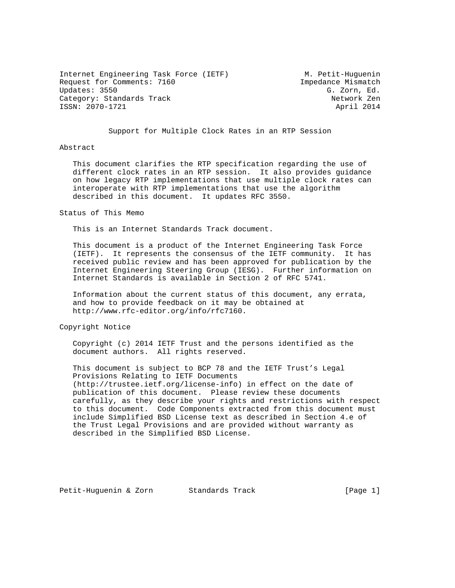Internet Engineering Task Force (IETF) M. Petit-Huguenin<br>Request for Comments: 7160 Sequest for Comments: 7160 Request for Comments: 7160 Updates: 3550 G. Zorn, Ed. Category: Standards Track Network Zen ISSN: 2070-1721 April 2014

Support for Multiple Clock Rates in an RTP Session

#### Abstract

 This document clarifies the RTP specification regarding the use of different clock rates in an RTP session. It also provides guidance on how legacy RTP implementations that use multiple clock rates can interoperate with RTP implementations that use the algorithm described in this document. It updates RFC 3550.

#### Status of This Memo

This is an Internet Standards Track document.

 This document is a product of the Internet Engineering Task Force (IETF). It represents the consensus of the IETF community. It has received public review and has been approved for publication by the Internet Engineering Steering Group (IESG). Further information on Internet Standards is available in Section 2 of RFC 5741.

 Information about the current status of this document, any errata, and how to provide feedback on it may be obtained at http://www.rfc-editor.org/info/rfc7160.

Copyright Notice

 Copyright (c) 2014 IETF Trust and the persons identified as the document authors. All rights reserved.

 This document is subject to BCP 78 and the IETF Trust's Legal Provisions Relating to IETF Documents (http://trustee.ietf.org/license-info) in effect on the date of publication of this document. Please review these documents carefully, as they describe your rights and restrictions with respect to this document. Code Components extracted from this document must include Simplified BSD License text as described in Section 4.e of the Trust Legal Provisions and are provided without warranty as described in the Simplified BSD License.

Petit-Huguenin & Zorn Standards Track [Page 1]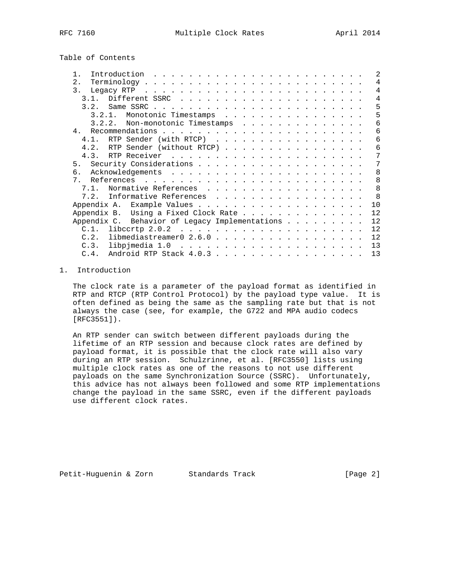Table of Contents

| Introduction                                                                                                                                                                                                                         |  |  |  |  | $\mathfrak{D}$ |
|--------------------------------------------------------------------------------------------------------------------------------------------------------------------------------------------------------------------------------------|--|--|--|--|----------------|
| 2.                                                                                                                                                                                                                                   |  |  |  |  | 4              |
| 3.<br>Legacy RTP (contact and contact and contact and contact and contact and contact and contact and contact and contact and contact and contact and contact and contact and contact and contact and contact and contact and contac |  |  |  |  | 4              |
| 3 1                                                                                                                                                                                                                                  |  |  |  |  | $\overline{4}$ |
| 3.2.                                                                                                                                                                                                                                 |  |  |  |  | 5              |
| Monotonic Timestamps<br>$3, 2, 1$ .                                                                                                                                                                                                  |  |  |  |  | 5              |
| Non-monotonic Timestamps<br>3.2.2.                                                                                                                                                                                                   |  |  |  |  | 6              |
| 4 <sub>1</sub>                                                                                                                                                                                                                       |  |  |  |  | 6              |
| 4.1. RTP Sender (with RTCP)                                                                                                                                                                                                          |  |  |  |  | 6              |
| RTP Sender (without RTCP)<br>4.2.                                                                                                                                                                                                    |  |  |  |  | 6              |
|                                                                                                                                                                                                                                      |  |  |  |  | 7              |
|                                                                                                                                                                                                                                      |  |  |  |  | 7              |
| б.                                                                                                                                                                                                                                   |  |  |  |  | 8              |
| 7                                                                                                                                                                                                                                    |  |  |  |  | $\mathsf{B}$   |
| Normative References<br>7 1                                                                                                                                                                                                          |  |  |  |  | 8              |
| Informative References<br>7.2.                                                                                                                                                                                                       |  |  |  |  | $\mathsf{R}$   |
|                                                                                                                                                                                                                                      |  |  |  |  | 10             |
| Using a Fixed Clock Rate<br>Appendix B.                                                                                                                                                                                              |  |  |  |  | 12             |
| Appendix C. Behavior of Legacy Implementations                                                                                                                                                                                       |  |  |  |  | 12             |
|                                                                                                                                                                                                                                      |  |  |  |  | 12             |
| libmediastreamer0 $2.6.0$<br>C.2.                                                                                                                                                                                                    |  |  |  |  | 12             |
|                                                                                                                                                                                                                                      |  |  |  |  | 13             |
| $C.4$ .                                                                                                                                                                                                                              |  |  |  |  | 13             |

# 1. Introduction

 The clock rate is a parameter of the payload format as identified in RTP and RTCP (RTP Control Protocol) by the payload type value. It is often defined as being the same as the sampling rate but that is not always the case (see, for example, the G722 and MPA audio codecs [RFC3551]).

 An RTP sender can switch between different payloads during the lifetime of an RTP session and because clock rates are defined by payload format, it is possible that the clock rate will also vary during an RTP session. Schulzrinne, et al. [RFC3550] lists using multiple clock rates as one of the reasons to not use different payloads on the same Synchronization Source (SSRC). Unfortunately, this advice has not always been followed and some RTP implementations change the payload in the same SSRC, even if the different payloads use different clock rates.

Petit-Huguenin & Zorn Standards Track [Page 2]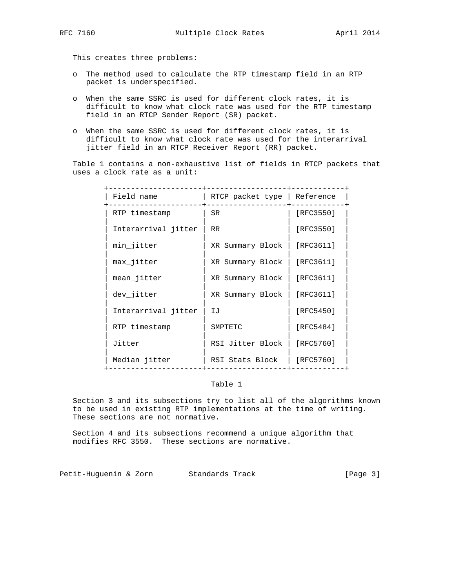This creates three problems:

- o The method used to calculate the RTP timestamp field in an RTP packet is underspecified.
- o When the same SSRC is used for different clock rates, it is difficult to know what clock rate was used for the RTP timestamp field in an RTCP Sender Report (SR) packet.
- o When the same SSRC is used for different clock rates, it is difficult to know what clock rate was used for the interarrival jitter field in an RTCP Receiver Report (RR) packet.

 Table 1 contains a non-exhaustive list of fields in RTCP packets that uses a clock rate as a unit:

| Field name          | RTCP packet type   Reference |               |
|---------------------|------------------------------|---------------|
| RTP timestamp       | SR.                          | [RFC3550]     |
| Interarrival jitter | <b>RR</b>                    | [RFC3550]     |
| min jitter          | XR Summary Block             | [RFC3611]     |
| max jitter          | XR Summary Block             | [ $RFC3611$ ] |
| mean jitter         | XR Summary Block             | [RFC3611]     |
| dev_jitter          | XR Summary Block             | [ $RFC3611$ ] |
| Interarrival jitter | IJ                           | [RFC5450]     |
| RTP timestamp       | SMPTETC                      | [RFC5484]     |
| Jitter              | RSI Jitter Block             | [RFC5760]     |
| Median jitter       | RSI Stats Block              | [RFC5760]     |
|                     |                              |               |

## Table 1

 Section 3 and its subsections try to list all of the algorithms known to be used in existing RTP implementations at the time of writing. These sections are not normative.

 Section 4 and its subsections recommend a unique algorithm that modifies RFC 3550. These sections are normative.

Petit-Huguenin & Zorn Standards Track [Page 3]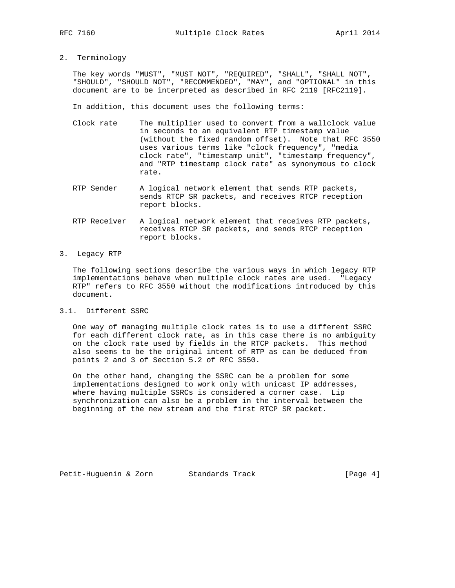2. Terminology

 The key words "MUST", "MUST NOT", "REQUIRED", "SHALL", "SHALL NOT", "SHOULD", "SHOULD NOT", "RECOMMENDED", "MAY", and "OPTIONAL" in this document are to be interpreted as described in RFC 2119 [RFC2119].

In addition, this document uses the following terms:

- Clock rate The multiplier used to convert from a wallclock value in seconds to an equivalent RTP timestamp value (without the fixed random offset). Note that RFC 3550 uses various terms like "clock frequency", "media clock rate", "timestamp unit", "timestamp frequency", and "RTP timestamp clock rate" as synonymous to clock rate.
- RTP Sender A logical network element that sends RTP packets, sends RTCP SR packets, and receives RTCP reception report blocks.
- RTP Receiver A logical network element that receives RTP packets, receives RTCP SR packets, and sends RTCP reception report blocks.
- 3. Legacy RTP

 The following sections describe the various ways in which legacy RTP implementations behave when multiple clock rates are used. "Legacy RTP" refers to RFC 3550 without the modifications introduced by this document.

3.1. Different SSRC

 One way of managing multiple clock rates is to use a different SSRC for each different clock rate, as in this case there is no ambiguity on the clock rate used by fields in the RTCP packets. This method also seems to be the original intent of RTP as can be deduced from points 2 and 3 of Section 5.2 of RFC 3550.

 On the other hand, changing the SSRC can be a problem for some implementations designed to work only with unicast IP addresses, where having multiple SSRCs is considered a corner case. Lip synchronization can also be a problem in the interval between the beginning of the new stream and the first RTCP SR packet.

Petit-Huguenin & Zorn Standards Track [Page 4]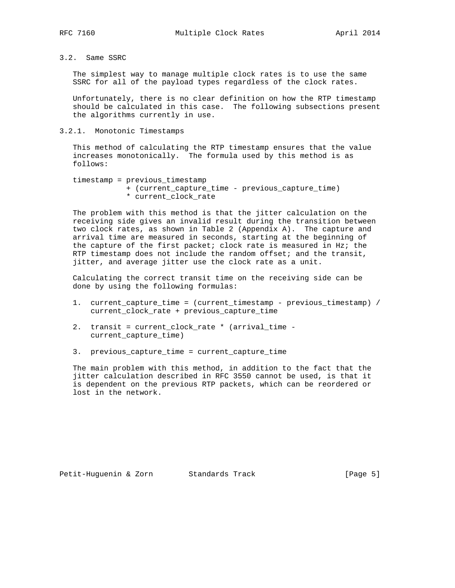# 3.2. Same SSRC

 The simplest way to manage multiple clock rates is to use the same SSRC for all of the payload types regardless of the clock rates.

 Unfortunately, there is no clear definition on how the RTP timestamp should be calculated in this case. The following subsections present the algorithms currently in use.

### 3.2.1. Monotonic Timestamps

 This method of calculating the RTP timestamp ensures that the value increases monotonically. The formula used by this method is as follows:

```
 timestamp = previous_timestamp
 + (current_capture_time - previous_capture_time)
 * current_clock_rate
```
 The problem with this method is that the jitter calculation on the receiving side gives an invalid result during the transition between two clock rates, as shown in Table 2 (Appendix A). The capture and arrival time are measured in seconds, starting at the beginning of the capture of the first packet; clock rate is measured in Hz; the RTP timestamp does not include the random offset; and the transit, jitter, and average jitter use the clock rate as a unit.

 Calculating the correct transit time on the receiving side can be done by using the following formulas:

- 1. current\_capture\_time = (current\_timestamp previous\_timestamp) / current\_clock\_rate + previous\_capture\_time
- 2. transit = current\_clock\_rate \* (arrival\_time current\_capture\_time)
- 3. previous\_capture\_time = current\_capture\_time

 The main problem with this method, in addition to the fact that the jitter calculation described in RFC 3550 cannot be used, is that it is dependent on the previous RTP packets, which can be reordered or lost in the network.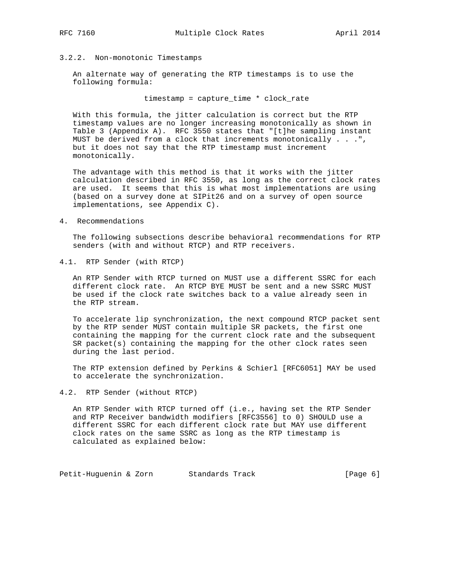## 3.2.2. Non-monotonic Timestamps

 An alternate way of generating the RTP timestamps is to use the following formula:

timestamp = capture\_time \* clock\_rate

 With this formula, the jitter calculation is correct but the RTP timestamp values are no longer increasing monotonically as shown in Table 3 (Appendix A). RFC 3550 states that "[t]he sampling instant MUST be derived from a clock that increments monotonically . . .", but it does not say that the RTP timestamp must increment monotonically.

 The advantage with this method is that it works with the jitter calculation described in RFC 3550, as long as the correct clock rates are used. It seems that this is what most implementations are using (based on a survey done at SIPit26 and on a survey of open source implementations, see Appendix C).

4. Recommendations

 The following subsections describe behavioral recommendations for RTP senders (with and without RTCP) and RTP receivers.

4.1. RTP Sender (with RTCP)

 An RTP Sender with RTCP turned on MUST use a different SSRC for each different clock rate. An RTCP BYE MUST be sent and a new SSRC MUST be used if the clock rate switches back to a value already seen in the RTP stream.

 To accelerate lip synchronization, the next compound RTCP packet sent by the RTP sender MUST contain multiple SR packets, the first one containing the mapping for the current clock rate and the subsequent SR packet(s) containing the mapping for the other clock rates seen during the last period.

 The RTP extension defined by Perkins & Schierl [RFC6051] MAY be used to accelerate the synchronization.

### 4.2. RTP Sender (without RTCP)

 An RTP Sender with RTCP turned off (i.e., having set the RTP Sender and RTP Receiver bandwidth modifiers [RFC3556] to 0) SHOULD use a different SSRC for each different clock rate but MAY use different clock rates on the same SSRC as long as the RTP timestamp is calculated as explained below:

Petit-Huguenin & Zorn Standards Track [Page 6]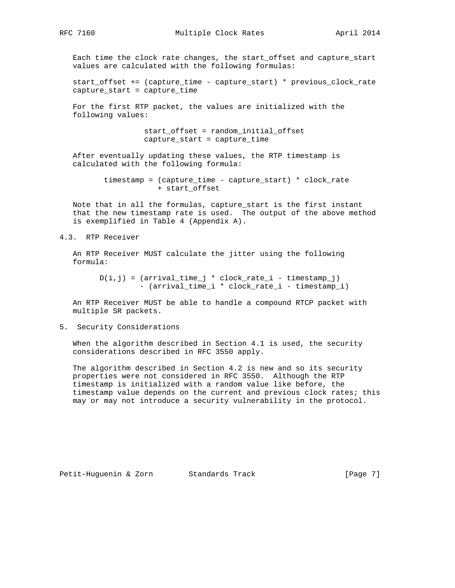Each time the clock rate changes, the start\_offset and capture\_start values are calculated with the following formulas:

 start\_offset += (capture\_time - capture\_start) \* previous\_clock\_rate capture\_start = capture\_time

 For the first RTP packet, the values are initialized with the following values:

> start\_offset = random\_initial\_offset capture\_start = capture\_time

 After eventually updating these values, the RTP timestamp is calculated with the following formula:

> timestamp = (capture\_time - capture\_start) \* clock\_rate + start\_offset

 Note that in all the formulas, capture\_start is the first instant that the new timestamp rate is used. The output of the above method is exemplified in Table 4 (Appendix A).

4.3. RTP Receiver

 An RTP Receiver MUST calculate the jitter using the following formula:

 $D(i,j) = (arrival_time_j * clock_rate_i - timestamp_j)$ - (arrival\_time\_i \* clock\_rate\_i - timestamp\_i)

 An RTP Receiver MUST be able to handle a compound RTCP packet with multiple SR packets.

5. Security Considerations

 When the algorithm described in Section 4.1 is used, the security considerations described in RFC 3550 apply.

 The algorithm described in Section 4.2 is new and so its security properties were not considered in RFC 3550. Although the RTP timestamp is initialized with a random value like before, the timestamp value depends on the current and previous clock rates; this may or may not introduce a security vulnerability in the protocol.

Petit-Huguenin & Zorn Standards Track [Page 7]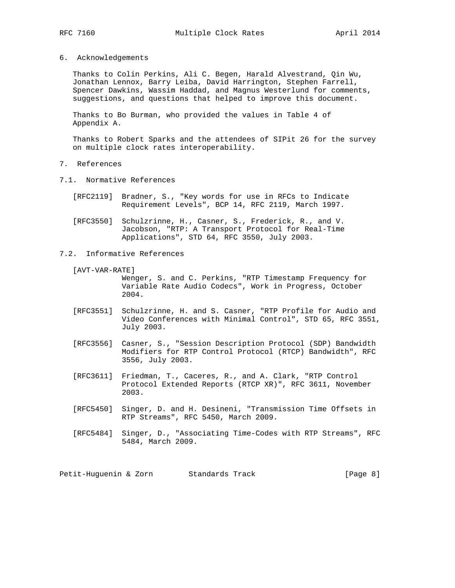- 
- 6. Acknowledgements

 Thanks to Colin Perkins, Ali C. Begen, Harald Alvestrand, Qin Wu, Jonathan Lennox, Barry Leiba, David Harrington, Stephen Farrell, Spencer Dawkins, Wassim Haddad, and Magnus Westerlund for comments, suggestions, and questions that helped to improve this document.

 Thanks to Bo Burman, who provided the values in Table 4 of Appendix A.

 Thanks to Robert Sparks and the attendees of SIPit 26 for the survey on multiple clock rates interoperability.

- 7. References
- 7.1. Normative References
	- [RFC2119] Bradner, S., "Key words for use in RFCs to Indicate Requirement Levels", BCP 14, RFC 2119, March 1997.
	- [RFC3550] Schulzrinne, H., Casner, S., Frederick, R., and V. Jacobson, "RTP: A Transport Protocol for Real-Time Applications", STD 64, RFC 3550, July 2003.
- 7.2. Informative References
	- [AVT-VAR-RATE]

 Wenger, S. and C. Perkins, "RTP Timestamp Frequency for Variable Rate Audio Codecs", Work in Progress, October 2004.

- [RFC3551] Schulzrinne, H. and S. Casner, "RTP Profile for Audio and Video Conferences with Minimal Control", STD 65, RFC 3551, July 2003.
- [RFC3556] Casner, S., "Session Description Protocol (SDP) Bandwidth Modifiers for RTP Control Protocol (RTCP) Bandwidth", RFC 3556, July 2003.
- [RFC3611] Friedman, T., Caceres, R., and A. Clark, "RTP Control Protocol Extended Reports (RTCP XR)", RFC 3611, November 2003.
- [RFC5450] Singer, D. and H. Desineni, "Transmission Time Offsets in RTP Streams", RFC 5450, March 2009.
- [RFC5484] Singer, D., "Associating Time-Codes with RTP Streams", RFC 5484, March 2009.

Petit-Huguenin & Zorn Standards Track [Page 8]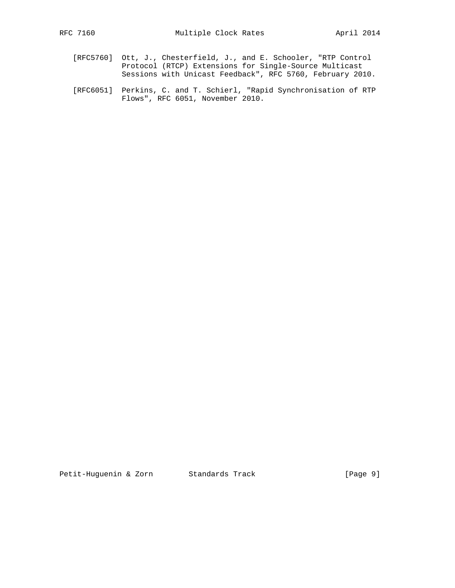- [RFC5760] Ott, J., Chesterfield, J., and E. Schooler, "RTP Control Protocol (RTCP) Extensions for Single-Source Multicast Sessions with Unicast Feedback", RFC 5760, February 2010.
- [RFC6051] Perkins, C. and T. Schierl, "Rapid Synchronisation of RTP Flows", RFC 6051, November 2010.

Petit-Huguenin & Zorn Standards Track [Page 9]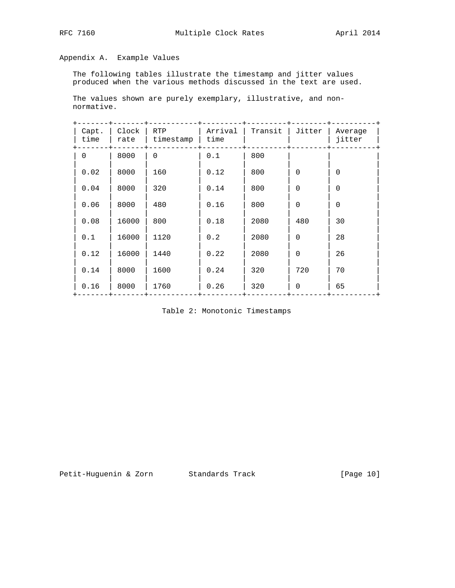# Appendix A. Example Values

 The following tables illustrate the timestamp and jitter values produced when the various methods discussed in the text are used.

 The values shown are purely exemplary, illustrative, and non normative.

| Capt.<br>time | Clock<br>rate | <b>RTP</b><br>timestamp | Arrival<br>time | Transit | Jitter      | Average<br>jitter |
|---------------|---------------|-------------------------|-----------------|---------|-------------|-------------------|
| $\Omega$      | 8000          | 0                       | 0.1             | 800     |             |                   |
| 0.02          | 8000          | 160                     | 0.12            | 800     | $\Omega$    | $\Omega$          |
| 0.04          | 8000          | 320                     | 0.14            | 800     | $\Omega$    | $\Omega$          |
| 0.06          | 8000          | 480                     | 0.16            | 800     | $\Omega$    | $\Omega$          |
| 0.08          | 16000         | 800                     | 0.18            | 2080    | 480         | 30                |
| 0.1           | 16000         | 1120                    | 0.2             | 2080    | $\Omega$    | 28                |
| 0.12          | 16000         | 1440                    | 0.22            | 2080    | $\Omega$    | 26                |
| 0.14          | 8000          | 1600                    | 0.24            | 320     | 720         | 70                |
| 0.16          | 8000          | 1760                    | 0.26            | 320     | $\mathbf 0$ | 65                |
|               |               |                         |                 |         |             |                   |

Table 2: Monotonic Timestamps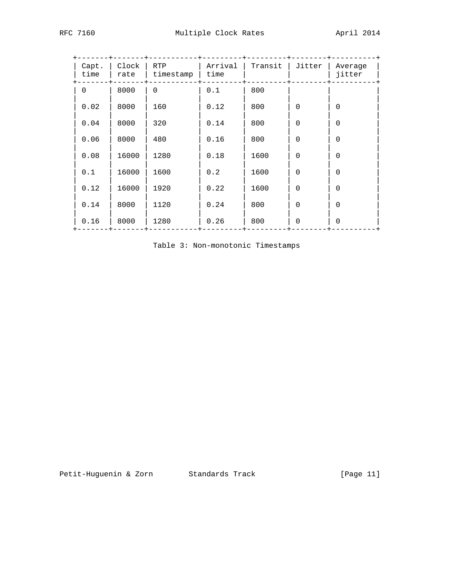| Capt.<br>time | Clock<br>rate | RTP<br>timestamp | Arrival<br>time | Transit | Jitter      | Average<br>jitter |  |
|---------------|---------------|------------------|-----------------|---------|-------------|-------------------|--|
| 0             | 8000          | $\Omega$         | 0.1             | 800     |             |                   |  |
| 0.02          | 8000          | 160              | 0.12            | 800     | $\Omega$    | $\Omega$          |  |
| 0.04          | 8000          | 320              | 0.14            | 800     | $\Omega$    | $\Omega$          |  |
| 0.06          | 8000          | 480              | 0.16            | 800     | $\Omega$    | $\Omega$          |  |
| 0.08          | 16000         | 1280             | 0.18            | 1600    | $\Omega$    | $\Omega$          |  |
| 0.1           | 16000         | 1600             | 0.2             | 1600    | $\Omega$    | $\Omega$          |  |
| 0.12          | 16000         | 1920             | 0.22            | 1600    | $\Omega$    | $\Omega$          |  |
| 0.14          | 8000          | 1120             | 0.24            | 800     | $\Omega$    | $\Omega$          |  |
| 0.16          | 8000          | 1280             | 0.26            | 800     | $\mathbf 0$ | $\Omega$          |  |

Table 3: Non-monotonic Timestamps

+-------+-------+-----------+---------+---------+--------+----------+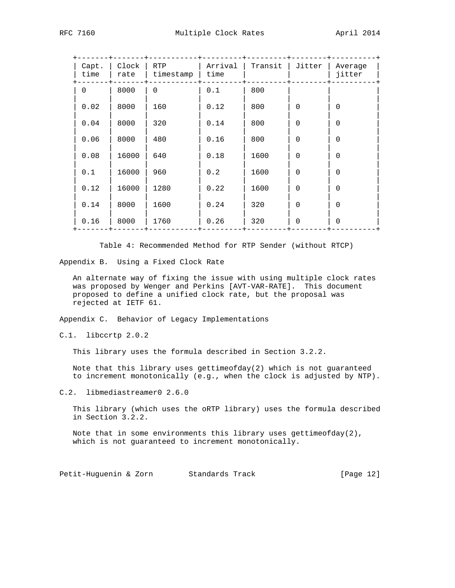| Capt.<br>time | Clock<br>rate | <b>RTP</b><br>timestamp | Arrival<br>time | Transit | Jitter   | Average<br>jitter |
|---------------|---------------|-------------------------|-----------------|---------|----------|-------------------|
| $\Omega$      | 8000          | $\Omega$                | 0.1             | 800     |          |                   |
| 0.02          | 8000          | 160                     | 0.12            | 800     | $\Omega$ | $\Omega$          |
| 0.04          | 8000          | 320                     | 0.14            | 800     | $\Omega$ | $\Omega$          |
| 0.06          | 8000          | 480                     | 0.16            | 800     | $\Omega$ | $\Omega$          |
| 0.08          | 16000         | 640                     | 0.18            | 1600    | $\Omega$ | $\Omega$          |
| 0.1           | 16000         | 960                     | 0.2             | 1600    | $\Omega$ | $\Omega$          |
| 0.12          | 16000         | 1280                    | 0.22            | 1600    | $\Omega$ | $\Omega$          |
| 0.14          | 8000          | 1600                    | 0.24            | 320     | $\Omega$ | $\Omega$          |
| 0.16          | 8000          | 1760                    | 0.26            | 320     | $\Omega$ | $\Omega$          |
|               |               |                         |                 |         |          |                   |

Table 4: Recommended Method for RTP Sender (without RTCP)

Appendix B. Using a Fixed Clock Rate

 An alternate way of fixing the issue with using multiple clock rates was proposed by Wenger and Perkins [AVT-VAR-RATE]. This document proposed to define a unified clock rate, but the proposal was rejected at IETF 61.

Appendix C. Behavior of Legacy Implementations

C.1. libccrtp 2.0.2

This library uses the formula described in Section 3.2.2.

 Note that this library uses gettimeofday(2) which is not guaranteed to increment monotonically (e.g., when the clock is adjusted by NTP).

C.2. libmediastreamer0 2.6.0

 This library (which uses the oRTP library) uses the formula described in Section 3.2.2.

Note that in some environments this library uses gettimeofday(2), which is not guaranteed to increment monotonically.

Petit-Huguenin & Zorn Standards Track [Page 12]